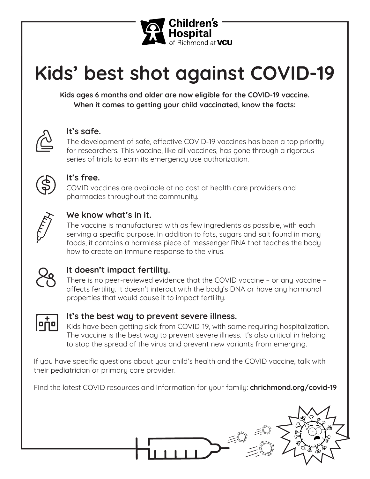

# **Kids' best shot against COVID-19**

**Kids ages 6 months and older are now eligible for the COVID-19 vaccine. When it comes to getting your child vaccinated, know the facts:**



#### **It's safe.**

The development of safe, effective COVID-19 vaccines has been a top priority for researchers. This vaccine, like all vaccines, has gone through a rigorous series of trials to earn its emergency use authorization.



#### **It's free.**

COVID vaccines are available at no cost at health care providers and pharmacies throughout the community.



### **We know what's in it.**

The vaccine is manufactured with as few ingredients as possible, with each serving a specific purpose. In addition to fats, sugars and salt found in many foods, it contains a harmless piece of messenger RNA that teaches the body how to create an immune response to the virus.



## **It doesn't impact fertility.**

There is no peer-reviewed evidence that the COVID vaccine – or any vaccine – affects fertility. It doesn't interact with the body's DNA or have any hormonal properties that would cause it to impact fertility.



#### **It's the best way to prevent severe illness.**

Kids have been getting sick from COVID-19, with some requiring hospitalization. The vaccine is the best way to prevent severe illness. It's also critical in helping to stop the spread of the virus and prevent new variants from emerging.

If you have specific questions about your child's health and the COVID vaccine, talk with their pediatrician or primary care provider.

Find the latest COVID resources and information for your family: **chrichmond.org/covid-19**